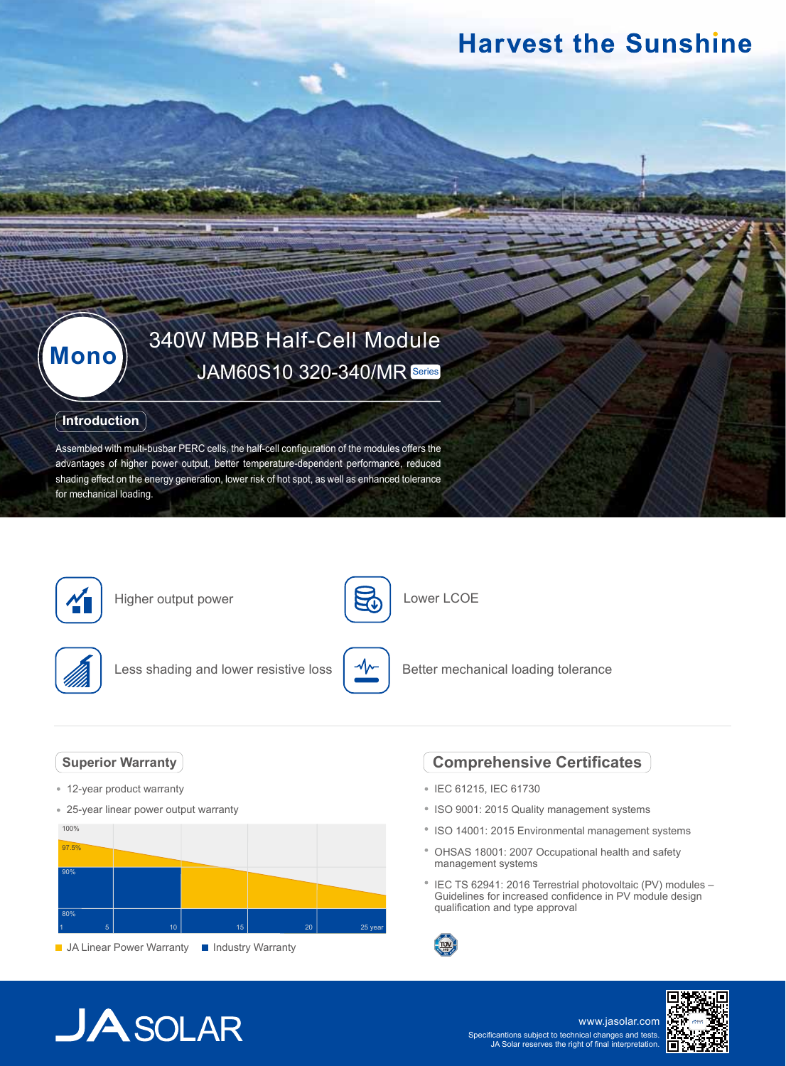## **Harvest the Sunshine**

# **Mono** 340W MBB Half-Cell Module

### **Introduction**

Assembled with multi-busbar PERC cells, the half-cell configuration of the modules offers the advantages of higher power output, better temperature-dependent performance, reduced shading effect on the energy generation, lower risk of hot spot, as well as enhanced tolerance for mechanical loading.



Higher output power



Lower LCOE



Less shading and lower resistive loss



Better mechanical loading tolerance

### **Superior Warranty**

- 12-year product warranty
- 25-year linear power output warranty



### **Comprehensive Certificates**

- IEC 61215, IEC 61730
- ISO 9001: 2015 Quality management systems
- ISO 14001: 2015 Environmental management systems
- OHSAS 18001: 2007 Occupational health and safety management systems
- <sup>\*</sup> IEC TS 62941: 2016 Terrestrial photovoltaic (PV) modules -Guidelines for increased confidence in PV module design qualification and type approval



# **JA** SOLAR

www.jasolar.com Specificantions subject to technical changes and tests. JA Solar reserves the right of final interpretation.